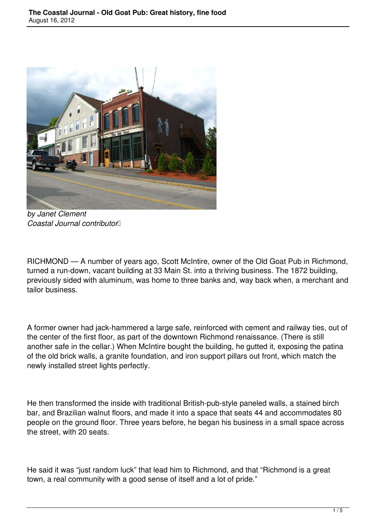

*by Janet Clement Coastal Journal contributor* 

RICHMOND — A number of years ago, Scott McIntire, owner of the Old Goat Pub in Richmond, turned a run-down, vacant building at 33 Main St. into a thriving business. The 1872 building, previously sided with aluminum, was home to three banks and, way back when, a merchant and tailor business.

A former owner had jack-hammered a large safe, reinforced with cement and railway ties, out of the center of the first floor, as part of the downtown Richmond renaissance. (There is still another safe in the cellar.) When McIntire bought the building, he gutted it, exposing the patina of the old brick walls, a granite foundation, and iron support pillars out front, which match the newly installed street lights perfectly.

He then transformed the inside with traditional British-pub-style paneled walls, a stained birch bar, and Brazilian walnut floors, and made it into a space that seats 44 and accommodates 80 people on the ground floor. Three years before, he began his business in a small space across the street, with 20 seats.

He said it was "just random luck" that lead him to Richmond, and that "Richmond is a great town, a real community with a good sense of itself and a lot of pride."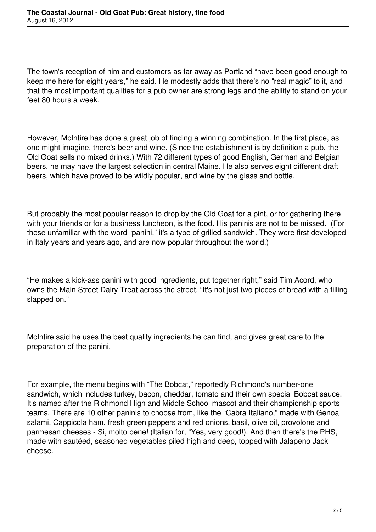The town's reception of him and customers as far away as Portland "have been good enough to keep me here for eight years," he said. He modestly adds that there's no "real magic" to it, and that the most important qualities for a pub owner are strong legs and the ability to stand on your feet 80 hours a week.

However, McIntire has done a great job of finding a winning combination. In the first place, as one might imagine, there's beer and wine. (Since the establishment is by definition a pub, the Old Goat sells no mixed drinks.) With 72 different types of good English, German and Belgian beers, he may have the largest selection in central Maine. He also serves eight different draft beers, which have proved to be wildly popular, and wine by the glass and bottle.

But probably the most popular reason to drop by the Old Goat for a pint, or for gathering there with your friends or for a business luncheon, is the food. His paninis are not to be missed. (For those unfamiliar with the word "panini," it's a type of grilled sandwich. They were first developed in Italy years and years ago, and are now popular throughout the world.)

"He makes a kick-ass panini with good ingredients, put together right," said Tim Acord, who owns the Main Street Dairy Treat across the street. "It's not just two pieces of bread with a filling slapped on."

McIntire said he uses the best quality ingredients he can find, and gives great care to the preparation of the panini.

For example, the menu begins with "The Bobcat," reportedly Richmond's number-one sandwich, which includes turkey, bacon, cheddar, tomato and their own special Bobcat sauce. It's named after the Richmond High and Middle School mascot and their championship sports teams. There are 10 other paninis to choose from, like the "Cabra Italiano," made with Genoa salami, Cappicola ham, fresh green peppers and red onions, basil, olive oil, provolone and parmesan cheeses - Si, molto bene! (Italian for, "Yes, very good!). And then there's the PHS, made with sautéed, seasoned vegetables piled high and deep, topped with Jalapeno Jack cheese.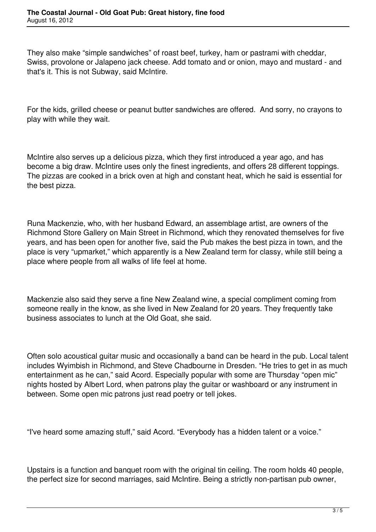They also make "simple sandwiches" of roast beef, turkey, ham or pastrami with cheddar, Swiss, provolone or Jalapeno jack cheese. Add tomato and or onion, mayo and mustard - and that's it. This is not Subway, said McIntire.

For the kids, grilled cheese or peanut butter sandwiches are offered. And sorry, no crayons to play with while they wait.

McIntire also serves up a delicious pizza, which they first introduced a year ago, and has become a big draw. McIntire uses only the finest ingredients, and offers 28 different toppings. The pizzas are cooked in a brick oven at high and constant heat, which he said is essential for the best pizza.

Runa Mackenzie, who, with her husband Edward, an assemblage artist, are owners of the Richmond Store Gallery on Main Street in Richmond, which they renovated themselves for five years, and has been open for another five, said the Pub makes the best pizza in town, and the place is very "upmarket," which apparently is a New Zealand term for classy, while still being a place where people from all walks of life feel at home.

Mackenzie also said they serve a fine New Zealand wine, a special compliment coming from someone really in the know, as she lived in New Zealand for 20 years. They frequently take business associates to lunch at the Old Goat, she said.

Often solo acoustical guitar music and occasionally a band can be heard in the pub. Local talent includes Wyimbish in Richmond, and Steve Chadbourne in Dresden. "He tries to get in as much entertainment as he can," said Acord. Especially popular with some are Thursday "open mic" nights hosted by Albert Lord, when patrons play the guitar or washboard or any instrument in between. Some open mic patrons just read poetry or tell jokes.

"I've heard some amazing stuff," said Acord. "Everybody has a hidden talent or a voice."

Upstairs is a function and banquet room with the original tin ceiling. The room holds 40 people, the perfect size for second marriages, said McIntire. Being a strictly non-partisan pub owner,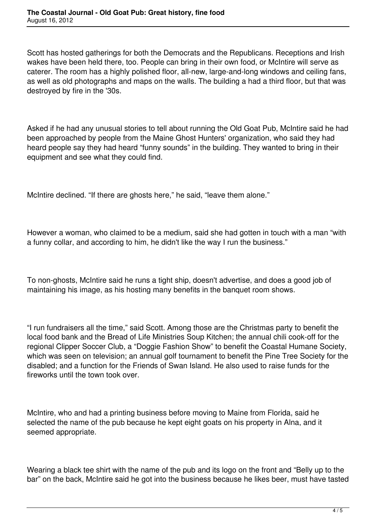Scott has hosted gatherings for both the Democrats and the Republicans. Receptions and Irish wakes have been held there, too. People can bring in their own food, or McIntire will serve as caterer. The room has a highly polished floor, all-new, large-and-long windows and ceiling fans, as well as old photographs and maps on the walls. The building a had a third floor, but that was destroyed by fire in the '30s.

Asked if he had any unusual stories to tell about running the Old Goat Pub, McIntire said he had been approached by people from the Maine Ghost Hunters' organization, who said they had heard people say they had heard "funny sounds" in the building. They wanted to bring in their equipment and see what they could find.

McIntire declined. "If there are ghosts here," he said, "leave them alone."

However a woman, who claimed to be a medium, said she had gotten in touch with a man "with a funny collar, and according to him, he didn't like the way I run the business."

To non-ghosts, McIntire said he runs a tight ship, doesn't advertise, and does a good job of maintaining his image, as his hosting many benefits in the banquet room shows.

"I run fundraisers all the time," said Scott. Among those are the Christmas party to benefit the local food bank and the Bread of Life Ministries Soup Kitchen; the annual chili cook-off for the regional Clipper Soccer Club, a "Doggie Fashion Show" to benefit the Coastal Humane Society, which was seen on television; an annual golf tournament to benefit the Pine Tree Society for the disabled; and a function for the Friends of Swan Island. He also used to raise funds for the fireworks until the town took over.

McIntire, who and had a printing business before moving to Maine from Florida, said he selected the name of the pub because he kept eight goats on his property in Alna, and it seemed appropriate.

Wearing a black tee shirt with the name of the pub and its logo on the front and "Belly up to the bar" on the back, McIntire said he got into the business because he likes beer, must have tasted